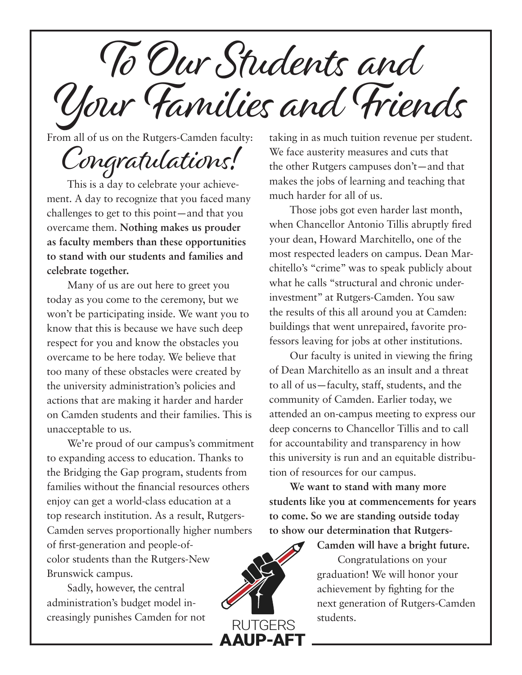To Our Students and Your Families and Friends

From all of us on the Rutgers-Camden faculty:

## Congratulations!

This is a day to celebrate your achievement. A day to recognize that you faced many challenges to get to this point—and that you overcame them. **Nothing makes us prouder as faculty members than these opportunities to stand with our students and families and celebrate together.**

Many of us are out here to greet you today as you come to the ceremony, but we won't be participating inside. We want you to know that this is because we have such deep respect for you and know the obstacles you overcame to be here today. We believe that too many of these obstacles were created by the university administration's policies and actions that are making it harder and harder on Camden students and their families. This is unacceptable to us.

We're proud of our campus's commitment to expanding access to education. Thanks to the Bridging the Gap program, students from families without the financial resources others enjoy can get a world-class education at a top research institution. As a result, Rutgers-Camden serves proportionally higher numbers of first-generation and people-ofcolor students than the Rutgers-New Brunswick campus.

Sadly, however, the central administration's budget model increasingly punishes Camden for not taking in as much tuition revenue per student. We face austerity measures and cuts that the other Rutgers campuses don't—and that makes the jobs of learning and teaching that much harder for all of us.

Those jobs got even harder last month, when Chancellor Antonio Tillis abruptly fired your dean, Howard Marchitello, one of the most respected leaders on campus. Dean Marchitello's "crime" was to speak publicly about what he calls "structural and chronic underinvestment" at Rutgers-Camden. You saw the results of this all around you at Camden: buildings that went unrepaired, favorite professors leaving for jobs at other institutions.

Our faculty is united in viewing the firing of Dean Marchitello as an insult and a threat to all of us—faculty, staff, students, and the community of Camden. Earlier today, we attended an on-campus meeting to express our deep concerns to Chancellor Tillis and to call for accountability and transparency in how this university is run and an equitable distribution of resources for our campus.

**We want to stand with many more students like you at commencements for years to come. So we are standing outside today to show our determination that Rutgers-**



**Camden will have a bright future.** Congratulations on your graduation! We will honor your achievement by fighting for the next generation of Rutgers-Camden